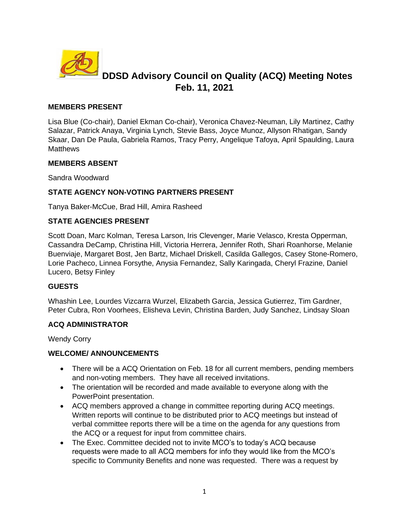

# **DDSD Advisory Council on Quality (ACQ) Meeting Notes Feb. 11, 2021**

## **MEMBERS PRESENT**

Lisa Blue (Co-chair), Daniel Ekman Co-chair), Veronica Chavez-Neuman, Lily Martinez, Cathy Salazar, Patrick Anaya, Virginia Lynch, Stevie Bass, Joyce Munoz, Allyson Rhatigan, Sandy Skaar, Dan De Paula, Gabriela Ramos, Tracy Perry, Angelique Tafoya, April Spaulding, Laura **Matthews** 

## **MEMBERS ABSENT**

Sandra Woodward

## **STATE AGENCY NON-VOTING PARTNERS PRESENT**

Tanya Baker-McCue, Brad Hill, Amira Rasheed

## **STATE AGENCIES PRESENT**

Scott Doan, Marc Kolman, Teresa Larson, Iris Clevenger, Marie Velasco, Kresta Opperman, Cassandra DeCamp, Christina Hill, Victoria Herrera, Jennifer Roth, Shari Roanhorse, Melanie Buenviaje, Margaret Bost, Jen Bartz, Michael Driskell, Casilda Gallegos, Casey Stone-Romero, Lorie Pacheco, Linnea Forsythe, Anysia Fernandez, Sally Karingada, Cheryl Frazine, Daniel Lucero, Betsy Finley

## **GUESTS**

Whashin Lee, Lourdes Vizcarra Wurzel, Elizabeth Garcia, Jessica Gutierrez, Tim Gardner, Peter Cubra, Ron Voorhees, Elisheva Levin, Christina Barden, Judy Sanchez, Lindsay Sloan

## **ACQ ADMINISTRATOR**

Wendy Corry

## **WELCOME/ ANNOUNCEMENTS**

- There will be a ACQ Orientation on Feb. 18 for all current members, pending members and non-voting members. They have all received invitations.
- The orientation will be recorded and made available to everyone along with the PowerPoint presentation.
- ACQ members approved a change in committee reporting during ACQ meetings. Written reports will continue to be distributed prior to ACQ meetings but instead of verbal committee reports there will be a time on the agenda for any questions from the ACQ or a request for input from committee chairs.
- The Exec. Committee decided not to invite MCO's to today's ACQ because requests were made to all ACQ members for info they would like from the MCO's specific to Community Benefits and none was requested. There was a request by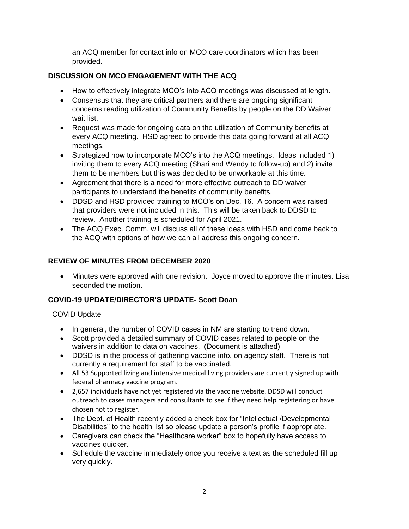an ACQ member for contact info on MCO care coordinators which has been provided.

# **DISCUSSION ON MCO ENGAGEMENT WITH THE ACQ**

- How to effectively integrate MCO's into ACQ meetings was discussed at length.
- Consensus that they are critical partners and there are ongoing significant concerns reading utilization of Community Benefits by people on the DD Waiver wait list.
- Request was made for ongoing data on the utilization of Community benefits at every ACQ meeting. HSD agreed to provide this data going forward at all ACQ meetings.
- Strategized how to incorporate MCO's into the ACQ meetings. Ideas included 1) inviting them to every ACQ meeting (Shari and Wendy to follow-up) and 2) invite them to be members but this was decided to be unworkable at this time.
- Agreement that there is a need for more effective outreach to DD waiver participants to understand the benefits of community benefits.
- DDSD and HSD provided training to MCO's on Dec. 16. A concern was raised that providers were not included in this. This will be taken back to DDSD to review. Another training is scheduled for April 2021.
- The ACQ Exec. Comm. will discuss all of these ideas with HSD and come back to the ACQ with options of how we can all address this ongoing concern.

# **REVIEW OF MINUTES FROM DECEMBER 2020**

• Minutes were approved with one revision. Joyce moved to approve the minutes. Lisa seconded the motion.

# **COVID-19 UPDATE/DIRECTOR'S UPDATE- Scott Doan**

# COVID Update

- In general, the number of COVID cases in NM are starting to trend down.
- Scott provided a detailed summary of COVID cases related to people on the waivers in addition to data on vaccines. (Document is attached)
- DDSD is in the process of gathering vaccine info. on agency staff. There is not currently a requirement for staff to be vaccinated.
- All 53 Supported living and intensive medical living providers are currently signed up with federal pharmacy vaccine program.
- 2,657 individuals have not yet registered via the vaccine website. DDSD will conduct outreach to cases managers and consultants to see if they need help registering or have chosen not to register.
- The Dept. of Health recently added a check box for "Intellectual /Developmental Disabilities" to the health list so please update a person's profile if appropriate.
- Caregivers can check the "Healthcare worker" box to hopefully have access to vaccines quicker.
- Schedule the vaccine immediately once you receive a text as the scheduled fill up very quickly.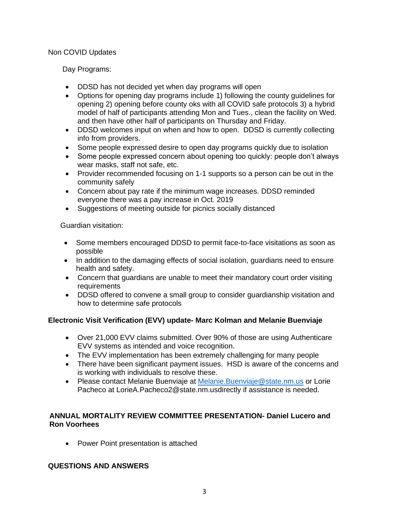#### Non COVID Updates

## Day Programs:

- DDSD has not decided yet when day programs will open
- Options for opening day programs include 1) following the county guidelines for opening 2) opening before county oks with all COVID safe protocols 3) a hybrid model of half of participants attending Mon and Tues., clean the facility on Wed. and then have other half of participants on Thursday and Friday.
- DDSD welcomes input on when and how to open. DDSD is currently collecting info from providers.
- Some people expressed desire to open day programs quickly due to isolation
- Some people expressed concern about opening too quickly: people don't always wear masks, staff not safe, etc.
- Provider recommended focusing on 1-1 supports so a person can be out in the community safely
- Concern about pay rate if the minimum wage increases. DDSD reminded everyone there was a pay increase in Oct. 2019
- Suggestions of meeting outside for picnics socially distanced

Guardian visitation:

- Some members encouraged DDSD to permit face-to-face visitations as soon as possible
- In addition to the damaging effects of social isolation, guardians need to ensure health and safety.
- Concern that guardians are unable to meet their mandatory court order visiting requirements
- DDSD offered to convene a small group to consider guardianship visitation and how to determine safe protocols

## **Electronic Visit Verification (EVV) update- Marc Kolman and Melanie Buenviaje**

- Over 21,000 EVV claims submitted. Over 90% of those are using Authenticare EVV systems as intended and voice recognition.
- The EVV implementation has been extremely challenging for many people
- There have been significant payment issues. HSD is aware of the concerns and is working with individuals to resolve these.
- Please contact Melanie Buenviaje at [Melanie.Buenviaje@state.nm.us](mailto:Melanie.Buenviaje@state.nm.us) or Lorie Pacheco at LorieA.Pacheco2@state.nm.usdirectly if assistance is needed.

## **ANNUAL MORTALITY REVIEW COMMITTEE PRESENTATION- Daniel Lucero and Ron Voorhees**

• Power Point presentation is attached

## **QUESTIONS AND ANSWERS**